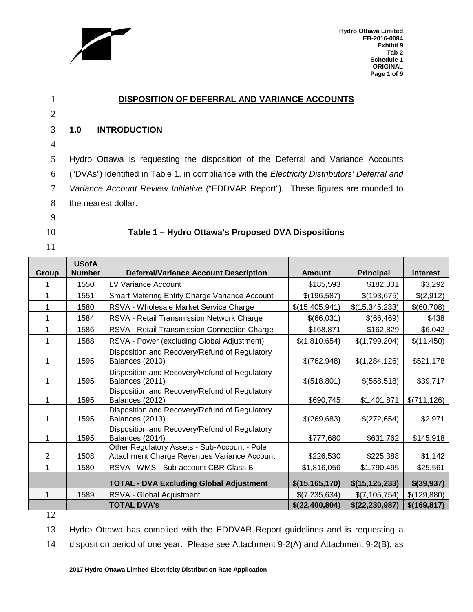

**Hydro Ottawa Limited EB-2016-0084 Exhibit 9 Tab 2 Schedule 1 ORIGINAL Page 1 of 9**

|                | <b>DISPOSITION OF DEFERRAL AND VARIANCE ACCOUNTS</b>                                                 |
|----------------|------------------------------------------------------------------------------------------------------|
| $\overline{2}$ |                                                                                                      |
| 3              | <b>INTRODUCTION</b><br>1.0                                                                           |
| 4              |                                                                                                      |
| 5              | Hydro Ottawa is requesting the disposition of the Deferral and Variance Accounts                     |
| 6              | ("DVAs") identified in Table 1, in compliance with the <i>Electricity Distributors' Deferral and</i> |
| 7              | Variance Account Review Initiative ("EDDVAR Report"). These figures are rounded to                   |
| 8              | the nearest dollar.                                                                                  |
| 9              |                                                                                                      |
| 10             | Table 1 – Hydro Ottawa's Proposed DVA Dispositions                                                   |
| 11             |                                                                                                      |

| <b>Group</b>   | <b>USofA</b><br><b>Number</b> | <b>Deferral/Variance Account Description</b>                                                | <b>Amount</b>    | <b>Principal</b> | <b>Interest</b> |
|----------------|-------------------------------|---------------------------------------------------------------------------------------------|------------------|------------------|-----------------|
|                | 1550                          | LV Variance Account                                                                         | \$185,593        | \$182,301        | \$3,292         |
|                | 1551                          | Smart Metering Entity Charge Variance Account                                               | \$(196,587)      | \$(193,675)      | \$(2,912)       |
|                | 1580                          | RSVA - Wholesale Market Service Charge                                                      | \$(15,405,941)   | \$(15,345,233)   | \$(60,708)      |
|                | 1584                          | RSVA - Retail Transmission Network Charge                                                   | \$(66,031)       | \$(66,469)       | \$438           |
|                | 1586                          | RSVA - Retail Transmission Connection Charge                                                | \$168,871        | \$162,829        | \$6,042         |
|                | 1588                          | RSVA - Power (excluding Global Adjustment)                                                  | \$(1,810,654)    | \$(1,799,204)    | \$(11,450)      |
|                | 1595                          | Disposition and Recovery/Refund of Regulatory<br>Balances (2010)                            | \$(762,948)      | \$(1,284,126)    | \$521,178       |
|                | 1595                          | Disposition and Recovery/Refund of Regulatory<br>Balances (2011)                            | \$(518,801)      | \$(558,518)      | \$39,717        |
|                | 1595                          | Disposition and Recovery/Refund of Regulatory<br>Balances (2012)                            | \$690,745        | \$1,401,871      | \$(711, 126)    |
| 1              | 1595                          | Disposition and Recovery/Refund of Regulatory<br>Balances (2013)                            | \$(269,683)      | \$(272,654)      | \$2,971         |
|                | 1595                          | Disposition and Recovery/Refund of Regulatory<br>Balances (2014)                            | \$777,680        | \$631,762        | \$145,918       |
| $\overline{2}$ | 1508                          | Other Regulatory Assets - Sub-Account - Pole<br>Attachment Charge Revenues Variance Account | \$226,530        | \$225,388        | \$1,142         |
| 1              | 1580                          | RSVA - WMS - Sub-account CBR Class B                                                        | \$1,816,056      | \$1,790,495      | \$25,561        |
|                |                               | <b>TOTAL - DVA Excluding Global Adjustment</b>                                              | \$(15, 165, 170) | \$(15, 125, 233) | $$$ (39,937)    |
| 1              | 1589                          | RSVA - Global Adjustment                                                                    | \$(7,235,634)    | \$(7,105,754)    | \$(129,880)     |
|                |                               | <b>TOTAL DVA's</b>                                                                          | \$(22,400,804)   | \$(22, 230, 987) | \$(169, 817)    |

12

13 Hydro Ottawa has complied with the EDDVAR Report guidelines and is requesting a

14 disposition period of one year. Please see Attachment 9-2(A) and Attachment 9-2(B), as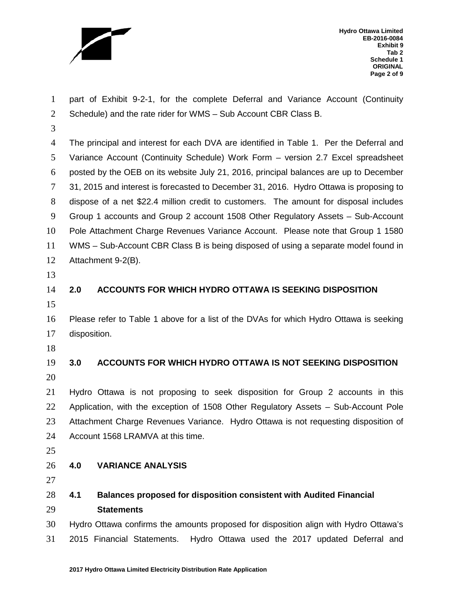

**Hydro Ottawa Limited EB-2016-0084 Exhibit 9 Tab 2 Schedule 1 ORIGINAL Page 2 of 9**

 part of Exhibit 9-2-1, for the complete Deferral and Variance Account (Continuity Schedule) and the rate rider for WMS – Sub Account CBR Class B.

 The principal and interest for each DVA are identified in Table 1. Per the Deferral and Variance Account (Continuity Schedule) Work Form – version 2.7 Excel spreadsheet posted by the OEB on its website July 21, 2016, principal balances are up to December 31, 2015 and interest is forecasted to December 31, 2016. Hydro Ottawa is proposing to dispose of a net \$22.4 million credit to customers. The amount for disposal includes Group 1 accounts and Group 2 account 1508 Other Regulatory Assets – Sub-Account Pole Attachment Charge Revenues Variance Account. Please note that Group 1 1580 WMS – Sub-Account CBR Class B is being disposed of using a separate model found in Attachment 9-2(B).

# **2.0 ACCOUNTS FOR WHICH HYDRO OTTAWA IS SEEKING DISPOSITION**

 Please refer to Table 1 above for a list of the DVAs for which Hydro Ottawa is seeking disposition.

 **3.0 ACCOUNTS FOR WHICH HYDRO OTTAWA IS NOT SEEKING DISPOSITION** 

 Hydro Ottawa is not proposing to seek disposition for Group 2 accounts in this Application, with the exception of 1508 Other Regulatory Assets – Sub-Account Pole Attachment Charge Revenues Variance. Hydro Ottawa is not requesting disposition of Account 1568 LRAMVA at this time.

## **4.0 VARIANCE ANALYSIS**

 **4.1 Balances proposed for disposition consistent with Audited Financial Statements**

 Hydro Ottawa confirms the amounts proposed for disposition align with Hydro Ottawa's 2015 Financial Statements. Hydro Ottawa used the 2017 updated Deferral and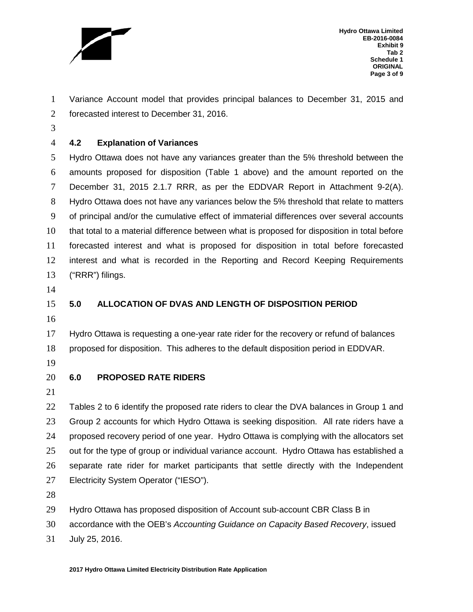

**Hydro Ottawa Limited EB-2016-0084 Exhibit 9 Tab 2 Schedule 1 ORIGINAL Page 3 of 9**

 Variance Account model that provides principal balances to December 31, 2015 and forecasted interest to December 31, 2016.

### **4.2 Explanation of Variances**

 Hydro Ottawa does not have any variances greater than the 5% threshold between the amounts proposed for disposition (Table 1 above) and the amount reported on the December 31, 2015 2.1.7 RRR, as per the EDDVAR Report in Attachment 9-2(A). Hydro Ottawa does not have any variances below the 5% threshold that relate to matters of principal and/or the cumulative effect of immaterial differences over several accounts that total to a material difference between what is proposed for disposition in total before forecasted interest and what is proposed for disposition in total before forecasted interest and what is recorded in the Reporting and Record Keeping Requirements ("RRR") filings.

- 
- 

### **5.0 ALLOCATION OF DVAS AND LENGTH OF DISPOSITION PERIOD**

 Hydro Ottawa is requesting a one-year rate rider for the recovery or refund of balances proposed for disposition. This adheres to the default disposition period in EDDVAR.

- 
- 

### **6.0 PROPOSED RATE RIDERS**

22 Tables 2 to 6 identify the proposed rate riders to clear the DVA balances in Group 1 and Group 2 accounts for which Hydro Ottawa is seeking disposition. All rate riders have a proposed recovery period of one year. Hydro Ottawa is complying with the allocators set out for the type of group or individual variance account. Hydro Ottawa has established a separate rate rider for market participants that settle directly with the Independent Electricity System Operator ("IESO").

Hydro Ottawa has proposed disposition of Account sub-account CBR Class B in

accordance with the OEB's *Accounting Guidance on Capacity Based Recovery*, issued

July 25, 2016.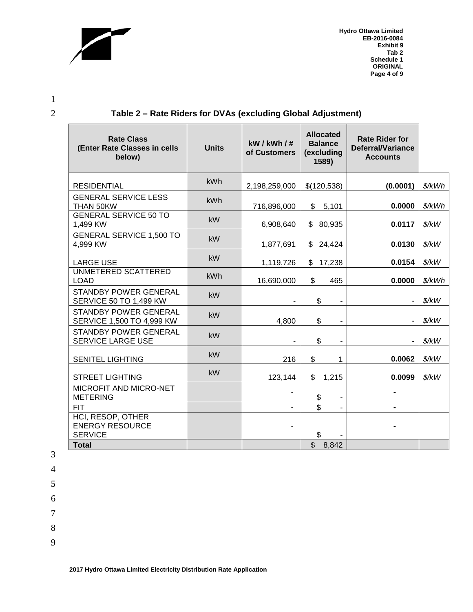

**Hydro Ottawa Limited EB-2016-0084 Exhibit 9 Tab 2 Schedule 1 ORIGINAL Page 4 of 9**

1

2 **Table 2 – Rate Riders for DVAs (excluding Global Adjustment)**

| <b>Rate Class</b><br>(Enter Rate Classes in cells<br>below)   | <b>Units</b> | kW/kWh/#<br>of Customers | <b>Allocated</b><br><b>Balance</b><br>(excluding<br>1589) | <b>Rate Rider for</b><br><b>Deferral/Variance</b><br><b>Accounts</b> |                         |
|---------------------------------------------------------------|--------------|--------------------------|-----------------------------------------------------------|----------------------------------------------------------------------|-------------------------|
| <b>RESIDENTIAL</b>                                            | kWh          | 2,198,259,000            | \$(120,538)                                               | (0.0001)                                                             | \$/kWh                  |
| <b>GENERAL SERVICE LESS</b><br>THAN 50KW                      | <b>kWh</b>   | 716,896,000              | \$<br>5,101                                               | 0.0000                                                               | \$/kWh                  |
| <b>GENERAL SERVICE 50 TO</b><br>1,499 KW                      | kW           | 6,908,640                | \$<br>80,935                                              | 0.0117                                                               | \$/kW                   |
| <b>GENERAL SERVICE 1,500 TO</b><br>4,999 KW                   | kW           | 1,877,691                | \$24,424                                                  | 0.0130                                                               | \$/kW                   |
| <b>LARGE USE</b>                                              | <b>kW</b>    | 1,119,726                | 17,238<br>\$                                              | 0.0154                                                               | \$/kW                   |
| UNMETERED SCATTERED<br><b>LOAD</b>                            | kWh          | 16,690,000               | \$<br>465                                                 | 0.0000                                                               | \$/kWh                  |
| STANDBY POWER GENERAL<br><b>SERVICE 50 TO 1,499 KW</b>        | <b>kW</b>    | $\blacksquare$           | \$<br>$\blacksquare$                                      | $\blacksquare$                                                       | \$/kW                   |
| <b>STANDBY POWER GENERAL</b><br>SERVICE 1,500 TO 4,999 KW     | <b>kW</b>    | 4,800                    | \$<br>$\overline{\phantom{a}}$                            |                                                                      | $\frac{\frac{1}{2}}{k}$ |
| STANDBY POWER GENERAL<br><b>SERVICE LARGE USE</b>             | kW           |                          | \$                                                        |                                                                      | \$/kW                   |
| <b>SENITEL LIGHTING</b>                                       | <b>kW</b>    | 216                      | \$<br>1                                                   | 0.0062                                                               | \$/kW                   |
| <b>STREET LIGHTING</b>                                        | <b>kW</b>    | 123,144                  | \$<br>1,215                                               | 0.0099                                                               | $\frac{\frac{1}{2}}{k}$ |
| MICROFIT AND MICRO-NET<br><b>METERING</b>                     |              |                          | \$                                                        |                                                                      |                         |
| <b>FIT</b>                                                    |              |                          | \$                                                        |                                                                      |                         |
| HCI, RESOP, OTHER<br><b>ENERGY RESOURCE</b><br><b>SERVICE</b> |              | $\overline{\phantom{a}}$ | \$                                                        |                                                                      |                         |
| <b>Total</b>                                                  |              |                          | $\mathbb{S}$<br>8,842                                     |                                                                      |                         |

3

4

5

6

7

8

9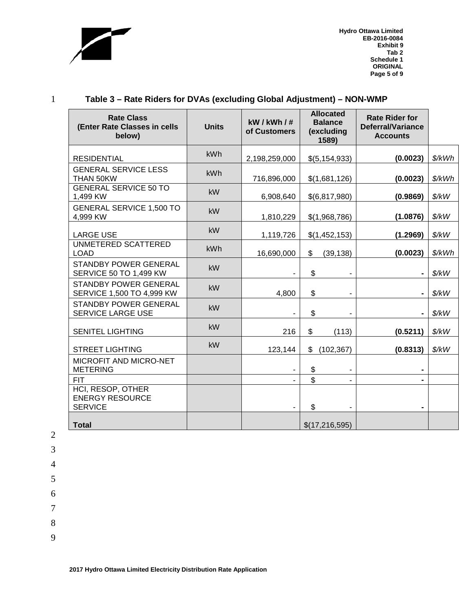

**Hydro Ottawa Limited EB-2016-0084 Exhibit 9 Tab 2 Schedule 1 ORIGINAL Page 5 of 9**

## 1 **Table 3 – Rate Riders for DVAs (excluding Global Adjustment) – NON-WMP**

| <b>Rate Class</b><br>(Enter Rate Classes in cells<br>below)   | <b>Units</b> | kW/kWh/#<br>of Customers | <b>Allocated</b><br><b>Balance</b><br>(excluding<br>1589) | <b>Rate Rider for</b><br><b>Deferral/Variance</b><br><b>Accounts</b> |                      |
|---------------------------------------------------------------|--------------|--------------------------|-----------------------------------------------------------|----------------------------------------------------------------------|----------------------|
| <b>RESIDENTIAL</b>                                            | kWh          | 2,198,259,000            | \$(5,154,933)                                             | (0.0023)                                                             | \$/kWh               |
| <b>GENERAL SERVICE LESS</b><br>THAN 50KW                      | kWh          | 716,896,000              | \$(1,681,126)                                             | (0.0023)                                                             | \$/kWh               |
| <b>GENERAL SERVICE 50 TO</b><br>1,499 KW                      | kW           | 6,908,640                | \$(6,817,980)                                             | (0.9869)                                                             | \$/kW                |
| <b>GENERAL SERVICE 1,500 TO</b><br>4,999 KW                   | kW           | 1,810,229                | \$(1,968,786)                                             | (1.0876)                                                             | \$/kW                |
| <b>LARGE USE</b>                                              | kW           | 1,119,726                | \$(1,452,153)                                             | (1.2969)                                                             | \$/kW                |
| UNMETERED SCATTERED<br><b>LOAD</b>                            | kWh          | 16,690,000               | \$<br>(39, 138)                                           | (0.0023)                                                             | \$/kWh               |
| <b>STANDBY POWER GENERAL</b><br><b>SERVICE 50 TO 1,499 KW</b> | <b>kW</b>    |                          | \$<br>-                                                   |                                                                      | \$/kW                |
| <b>STANDBY POWER GENERAL</b><br>SERVICE 1,500 TO 4,999 KW     | kW           | 4,800                    | \$                                                        |                                                                      | \$/kW                |
| <b>STANDBY POWER GENERAL</b><br>SERVICE LARGE USE             | kW           |                          | \$                                                        |                                                                      | \$/kW                |
| <b>SENITEL LIGHTING</b>                                       | kW           | 216                      | $\frac{1}{2}$<br>(113)                                    | (0.5211)                                                             | $\frac{\sqrt{2}}{2}$ |
| <b>STREET LIGHTING</b>                                        | kW           | 123,144                  | \$<br>(102, 367)                                          | (0.8313)                                                             | \$/kW                |
| MICROFIT AND MICRO-NET<br><b>METERING</b>                     |              |                          | \$                                                        |                                                                      |                      |
| <b>FIT</b>                                                    |              |                          | \$                                                        |                                                                      |                      |
| HCI, RESOP, OTHER<br><b>ENERGY RESOURCE</b><br><b>SERVICE</b> |              |                          | \$<br>$\overline{\phantom{a}}$                            |                                                                      |                      |
| <b>Total</b>                                                  |              |                          | \$(17,216,595)                                            |                                                                      |                      |

- 2 3
- 4
- 5
- 6
- 7
- 8
	-
- 9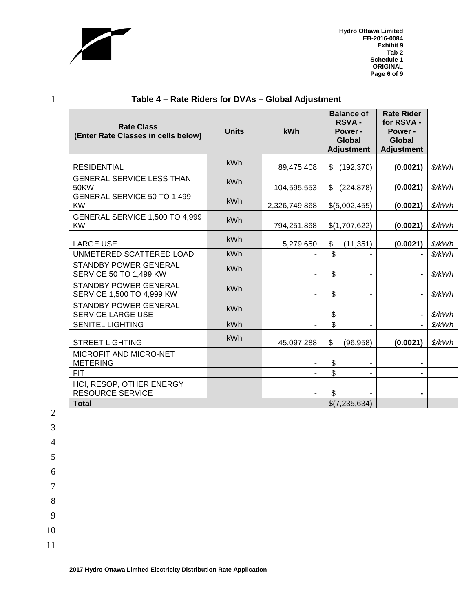

**Hydro Ottawa Limited EB-2016-0084 Exhibit 9 Tab 2 Schedule 1 ORIGINAL Page 6 of 9**

| <b>Rate Class</b><br>(Enter Rate Classes in cells below)      | <b>Units</b> | kWh           | <b>Balance of</b><br><b>RSVA-</b><br>Power -<br>Global<br><b>Adjustment</b> | <b>Rate Rider</b><br>for RSVA -<br>Power -<br><b>Global</b><br><b>Adjustment</b> |        |
|---------------------------------------------------------------|--------------|---------------|-----------------------------------------------------------------------------|----------------------------------------------------------------------------------|--------|
| <b>RESIDENTIAL</b>                                            | <b>kWh</b>   | 89,475,408    | \$<br>(192, 370)                                                            | (0.0021)                                                                         | \$/kWh |
| <b>GENERAL SERVICE LESS THAN</b><br>50KW                      | kWh          | 104,595,553   | \$<br>(224, 878)                                                            | (0.0021)                                                                         | \$/kWh |
| GENERAL SERVICE 50 TO 1,499<br><b>KW</b>                      | kWh          | 2,326,749,868 | \$(5,002,455)                                                               | (0.0021)                                                                         | \$/kWh |
| GENERAL SERVICE 1,500 TO 4,999<br><b>KW</b>                   | kWh          | 794,251,868   | \$(1,707,622)                                                               | (0.0021)                                                                         | \$/kWh |
| <b>LARGE USE</b>                                              | kWh          | 5,279,650     | \$<br>(11, 351)                                                             | (0.0021)                                                                         | \$/kWh |
| UNMETERED SCATTERED LOAD                                      | kWh          |               | \$                                                                          |                                                                                  | \$/kWh |
| <b>STANDBY POWER GENERAL</b><br><b>SERVICE 50 TO 1,499 KW</b> | kWh          |               | \$                                                                          |                                                                                  | \$/kWh |
| <b>STANDBY POWER GENERAL</b><br>SERVICE 1,500 TO 4,999 KW     | kWh          |               | \$                                                                          |                                                                                  | \$/kWh |
| <b>STANDBY POWER GENERAL</b><br>SERVICE LARGE USE             | kWh          |               | \$<br>-                                                                     |                                                                                  | \$/kWh |
| <b>SENITEL LIGHTING</b>                                       | kWh          |               | \$                                                                          |                                                                                  | \$/kWh |
| <b>STREET LIGHTING</b>                                        | kWh          | 45,097,288    | \$<br>(96, 958)                                                             | (0.0021)                                                                         | \$/kWh |
| MICROFIT AND MICRO-NET<br><b>METERING</b>                     |              |               | \$                                                                          |                                                                                  |        |
| <b>FIT</b>                                                    |              |               | \$<br>$\blacksquare$                                                        | $\blacksquare$                                                                   |        |
| HCI, RESOP, OTHER ENERGY<br><b>RESOURCE SERVICE</b>           |              |               | \$.                                                                         |                                                                                  |        |
| <b>Total</b>                                                  |              |               | \$(7,235,634)                                                               |                                                                                  |        |

## 1 **Table 4 – Rate Riders for DVAs – Global Adjustment**

7 8

9

10

11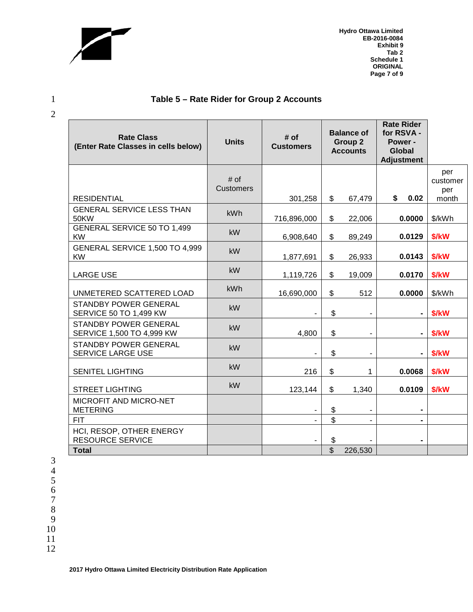

2

**Hydro Ottawa Limited EB-2016-0084 Exhibit 9 Tab 2 Schedule 1 ORIGINAL Page 7 of 9**

## 1 **Table 5 – Rate Rider for Group 2 Accounts**

| <b>Rate Class</b><br>(Enter Rate Classes in cells below)      | <b>Units</b>               | # of<br><b>Customers</b> | <b>Balance of</b><br>Group 2<br><b>Accounts</b> |                          | <b>Rate Rider</b><br>for RSVA -<br>Power -<br><b>Global</b><br><b>Adjustment</b> |                        |
|---------------------------------------------------------------|----------------------------|--------------------------|-------------------------------------------------|--------------------------|----------------------------------------------------------------------------------|------------------------|
|                                                               | $#$ of<br><b>Customers</b> |                          |                                                 |                          |                                                                                  | per<br>customer<br>per |
| <b>RESIDENTIAL</b>                                            |                            | 301,258                  | $\mathfrak{S}$                                  | 67,479                   | \$<br>0.02                                                                       | month                  |
| <b>GENERAL SERVICE LESS THAN</b><br><b>50KW</b>               | <b>kWh</b>                 | 716,896,000              | $\mathfrak{S}$                                  | 22,006                   | 0.0000                                                                           | \$/kWh                 |
| <b>GENERAL SERVICE 50 TO 1,499</b><br><b>KW</b>               | kW                         | 6,908,640                | \$                                              | 89,249                   | 0.0129                                                                           | \$/kW                  |
| GENERAL SERVICE 1,500 TO 4,999<br><b>KW</b>                   | <b>kW</b>                  | 1,877,691                | $\mathfrak{S}$                                  | 26,933                   | 0.0143                                                                           | \$/kW                  |
| <b>LARGE USE</b>                                              | <b>kW</b>                  | 1,119,726                | $\mathsf{\$}$                                   | 19,009                   | 0.0170                                                                           | \$/kW                  |
| UNMETERED SCATTERED LOAD                                      | <b>kWh</b>                 | 16,690,000               | \$                                              | 512                      | 0.0000                                                                           | \$/kWh                 |
| <b>STANDBY POWER GENERAL</b><br><b>SERVICE 50 TO 1,499 KW</b> | kW                         |                          | \$                                              | $\overline{\phantom{a}}$ | $\blacksquare$                                                                   | \$/kW                  |
| <b>STANDBY POWER GENERAL</b><br>SERVICE 1,500 TO 4,999 KW     | kW                         | 4,800                    | \$                                              | $\blacksquare$           |                                                                                  | \$/kW                  |
| <b>STANDBY POWER GENERAL</b><br>SERVICE LARGE USE             | <b>kW</b>                  | $\overline{\phantom{a}}$ | \$                                              | $\overline{\phantom{a}}$ |                                                                                  | \$/kW                  |
| <b>SENITEL LIGHTING</b>                                       | <b>kW</b>                  | 216                      | \$                                              | 1                        | 0.0068                                                                           | \$/kW                  |
| <b>STREET LIGHTING</b>                                        | kW                         | 123,144                  | $\mathfrak{L}$                                  | 1,340                    | 0.0109                                                                           | \$/kW                  |
| MICROFIT AND MICRO-NET<br><b>METERING</b>                     |                            |                          | \$                                              |                          |                                                                                  |                        |
| <b>FIT</b>                                                    |                            |                          | $\mathfrak{S}$                                  |                          |                                                                                  |                        |
| HCI, RESOP, OTHER ENERGY<br><b>RESOURCE SERVICE</b>           |                            |                          | \$                                              |                          |                                                                                  |                        |
| <b>Total</b>                                                  |                            |                          | $\mathfrak{S}$                                  | 226,530                  |                                                                                  |                        |

- 7
- 8 9
- 10
- 11
- 12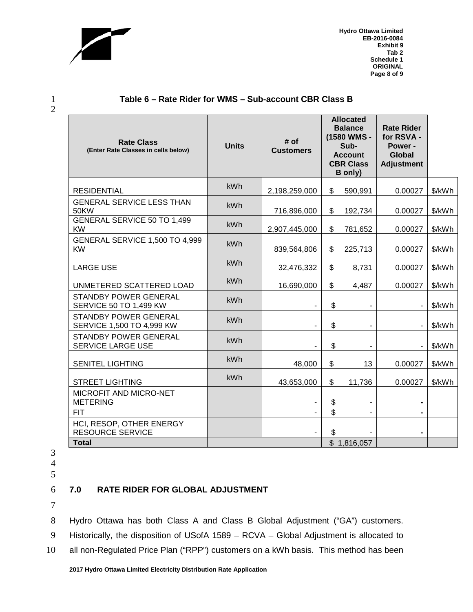

2

**Hydro Ottawa Limited EB-2016-0084 Exhibit 9 Tab 2 Schedule 1 ORIGINAL Page 8 of 9**

| <b>Rate Class</b><br>(Enter Rate Classes in cells below)      | <b>Units</b> | # of<br><b>Customers</b> | <b>Allocated</b><br><b>Balance</b><br>(1580 WMS -<br>Sub-<br><b>Account</b><br><b>CBR Class</b><br><b>B</b> only) |                | <b>Rate Rider</b><br>for RSVA -<br>Power -<br><b>Global</b><br><b>Adjustment</b> |        |
|---------------------------------------------------------------|--------------|--------------------------|-------------------------------------------------------------------------------------------------------------------|----------------|----------------------------------------------------------------------------------|--------|
| <b>RESIDENTIAL</b>                                            | <b>kWh</b>   | 2,198,259,000            | \$                                                                                                                | 590,991        | 0.00027                                                                          | \$/kWh |
| <b>GENERAL SERVICE LESS THAN</b><br>50KW                      | kWh          | 716,896,000              | \$                                                                                                                | 192,734        | 0.00027                                                                          | \$/kWh |
| GENERAL SERVICE 50 TO 1,499<br><b>KW</b>                      | <b>kWh</b>   | 2,907,445,000            | \$                                                                                                                | 781,652        | 0.00027                                                                          | \$/kWh |
| GENERAL SERVICE 1,500 TO 4,999<br><b>KW</b>                   | kWh          | 839,564,806              | \$                                                                                                                | 225,713        | 0.00027                                                                          | \$/kWh |
| <b>LARGE USE</b>                                              | kWh          | 32,476,332               | \$                                                                                                                | 8,731          | 0.00027                                                                          | \$/kWh |
| UNMETERED SCATTERED LOAD                                      | kWh          | 16,690,000               | \$                                                                                                                | 4,487          | 0.00027                                                                          | \$/kWh |
| <b>STANDBY POWER GENERAL</b><br><b>SERVICE 50 TO 1,499 KW</b> | kWh          |                          | \$                                                                                                                |                |                                                                                  | \$/kWh |
| <b>STANDBY POWER GENERAL</b><br>SERVICE 1,500 TO 4,999 KW     | kWh          | -                        | \$                                                                                                                | $\blacksquare$ |                                                                                  | \$/kWh |
| <b>STANDBY POWER GENERAL</b><br>SERVICE LARGE USE             | <b>kWh</b>   |                          | \$                                                                                                                |                |                                                                                  | \$/kWh |
| <b>SENITEL LIGHTING</b>                                       | kWh          | 48,000                   | \$                                                                                                                | 13             | 0.00027                                                                          | \$/kWh |
| <b>STREET LIGHTING</b>                                        | kWh          | 43,653,000               | \$                                                                                                                | 11,736         | 0.00027                                                                          | \$/kWh |
| MICROFIT AND MICRO-NET<br><b>METERING</b>                     |              |                          | \$                                                                                                                |                |                                                                                  |        |
| <b>FIT</b>                                                    |              |                          | \$                                                                                                                |                |                                                                                  |        |
| HCI, RESOP, OTHER ENERGY<br><b>RESOURCE SERVICE</b>           |              |                          | \$                                                                                                                |                |                                                                                  |        |
| <b>Total</b>                                                  |              |                          |                                                                                                                   | \$1,816,057    |                                                                                  |        |

#### 1 **Table 6 – Rate Rider for WMS – Sub-account CBR Class B**

- 3
- 4 5
- 

## 6 **7.0 RATE RIDER FOR GLOBAL ADJUSTMENT**

7

8 Hydro Ottawa has both Class A and Class B Global Adjustment ("GA") customers.

9 Historically, the disposition of USofA 1589 – RCVA – Global Adjustment is allocated to

10 all non-Regulated Price Plan ("RPP") customers on a kWh basis. This method has been